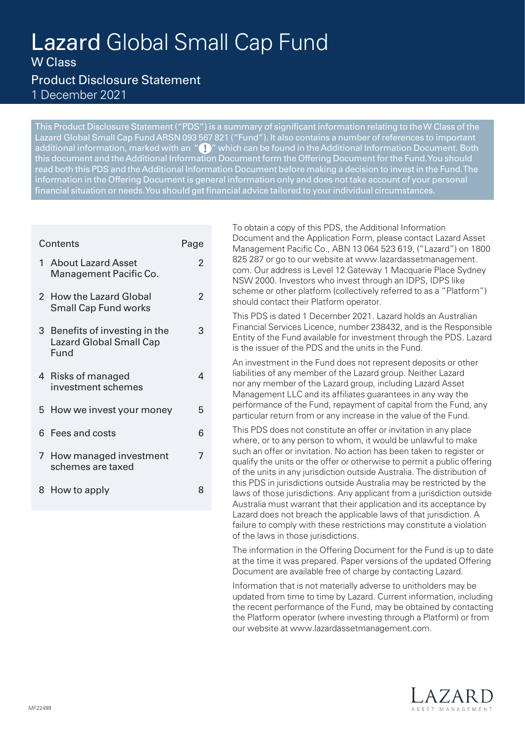# Lazard Global Small Cap Fund W Class

 $\mathfrak{p}$ 

 $\overline{2}$ 

3

4

7

# Product Disclosure Statement 1 December 2021

This Product Disclosure Statement ("PDS") is a summary of significant information relating to the W Class of the Lazard Global Small Cap Fund ARSN 093 567 821 ("Fund"). It also contains a number of references to important additional information, marked with an " $\bigcup$ " which can be found in the Additional Information Document. Both this document and the Additional Information Document form the Offering Document for the Fund. You should read both this PDS and the Additional Information Document before making a decision to invest in the Fund. The information in the Offering Document is general information only and does not take account of your personal financial situation or needs. You should get financial advice tailored to your individual circumstances.

# Contents **Page** 1 About Lazard Asset Management Pacific Co. 2 How the Lazard Global Small Cap Fund works 3 Benefits of investing in the Lazard Global Small Cap Fund 4 Risks of managed investment schemes 5 How we invest your money 5

- 6 Fees and costs 6
- 7 How managed investment schemes are taxed
- 8 How to apply 8

To obtain a copy of this PDS, the Additional Information Document and the Application Form, please contact Lazard Asset Management Pacific Co., ABN 13 064 523 619, ("Lazard") on 1800 [825 287 or go to our website at www.lazardassetmanagement.](http://www.lazardassetmanagement.com) com. Our address is Level 12 Gateway 1 Macquarie Place Sydney NSW 2000. Investors who invest through an IDPS, IDPS like scheme or other platform (collectively referred to as a "Platform") should contact their Platform operator. This PDS is dated 1 December 2021. Lazard holds an Australian

Financial Services Licence, number 238432, and is the Responsible Entity of the Fund available for investment through the PDS. Lazard is the issuer of the PDS and the units in the Fund.

An investment in the Fund does not represent deposits or other liabilities of any member of the Lazard group. Neither Lazard nor any member of the Lazard group, including Lazard Asset Management LLC and its affiliates guarantees in any way the performance of the Fund, repayment of capital from the Fund, any particular return from or any increase in the value of the Fund.

This PDS does not constitute an offer or invitation in any place where, or to any person to whom, it would be unlawful to make such an offer or invitation. No action has been taken to register or qualify the units or the offer or otherwise to permit a public offering of the units in any jurisdiction outside Australia. The distribution of this PDS in jurisdictions outside Australia may be restricted by the laws of those jurisdictions. Any applicant from a jurisdiction outside Australia must warrant that their application and its acceptance by Lazard does not breach the applicable laws of that jurisdiction. A failure to comply with these restrictions may constitute a violation of the laws in those jurisdictions.

The information in the Offering Document for the Fund is up to date at the time it was prepared. Paper versions of the updated Offering Document are available free of charge by contacting Lazard.

Information that is not materially adverse to unitholders may be updated from time to time by Lazard. Current information, including the recent performance of the Fund, may be obtained by contacting the Platform operator (where investing through a Platform) or from our website at www.lazardassetmanagement.com.

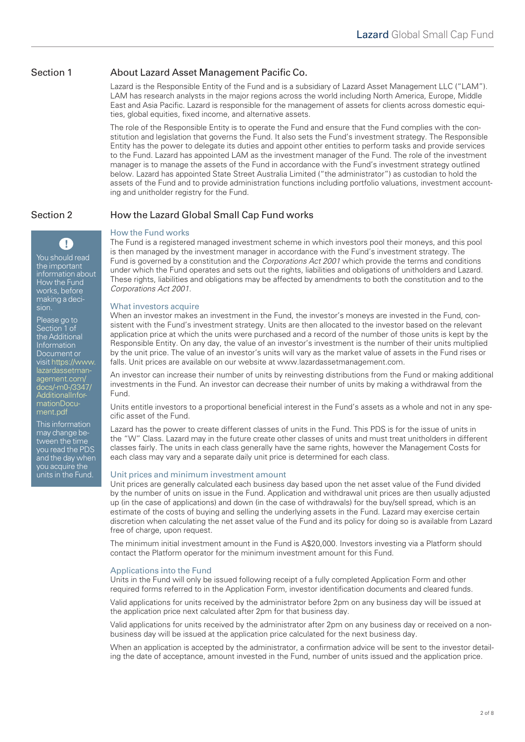# Section 1 About Lazard Asset Management Pacific Co.

Lazard is the Responsible Entity of the Fund and is a subsidiary of Lazard Asset Management LLC ("LAM"). LAM has research analysts in the major regions across the world including North America, Europe, Middle East and Asia Pacific. Lazard is responsible for the management of assets for clients across domestic equities, global equities, fixed income, and alternative assets.

The role of the Responsible Entity is to operate the Fund and ensure that the Fund complies with the constitution and legislation that governs the Fund. It also sets the Fund's investment strategy. The Responsible Entity has the power to delegate its duties and appoint other entities to perform tasks and provide services to the Fund. Lazard has appointed LAM as the investment manager of the Fund. The role of the investment manager is to manage the assets of the Fund in accordance with the Fund's investment strategy outlined below. Lazard has appointed State Street Australia Limited ("the administrator") as custodian to hold the assets of the Fund and to provide administration functions including portfolio valuations, investment accounting and unitholder registry for the Fund.

# Section 2 How the Lazard Global Small Cap Fund works

sion.

Please go to Section 1 of the Additional **Information** Document or [visit https://www.](https://www.lazardassetmanagement.com/docs/-m0-/3347/AdditionalInformationDocument.pdf) lazardassetmanagement.com/ docs/-m0-/3347/ AdditionalInformationDocument.pdf This information may change between the time you read the PDS and the day when you acquire the units in the Fund.

You should read the important information about How the Fund works, before making a deci-

 $\mathbf{T}$ 

# How the Fund works

The Fund is a registered managed investment scheme in which investors pool their moneys, and this pool is then managed by the investment manager in accordance with the Fund's investment strategy. The Fund is governed by a constitution and the *Corporations Act 2001* which provide the terms and conditions under which the Fund operates and sets out the rights, liabilities and obligations of unitholders and Lazard. These rights, liabilities and obligations may be affected by amendments to both the constitution and to the *Corporations Act 2001.* 

#### What investors acquire

When an investor makes an investment in the Fund, the investor's moneys are invested in the Fund, consistent with the Fund's investment strategy. Units are then allocated to the investor based on the relevant application price at which the units were purchased and a record of the number of those units is kept by the Responsible Entity. On any day, the value of an investor's investment is the number of their units multiplied by the unit price. The value of an investor's units will vary as the market value of assets in the Fund rises or falls. Unit prices are available on our website at www.lazardassetmanagement.com.

An investor can increase their number of units by reinvesting distributions from the Fund or making additional investments in the Fund. An investor can decrease their number of units by making a withdrawal from the Fund.

Units entitle investors to a proportional beneficial interest in the Fund's assets as a whole and not in any specific asset of the Fund.

Lazard has the power to create different classes of units in the Fund. This PDS is for the issue of units in the "W" Class. Lazard may in the future create other classes of units and must treat unitholders in different classes fairly. The units in each class generally have the same rights, however the Management Costs for each class may vary and a separate daily unit price is determined for each class.

## Unit prices and minimum investment amount

Unit prices are generally calculated each business day based upon the net asset value of the Fund divided by the number of units on issue in the Fund. Application and withdrawal unit prices are then usually adjusted up (in the case of applications) and down (in the case of withdrawals) for the buy/sell spread, which is an estimate of the costs of buying and selling the underlying assets in the Fund. Lazard may exercise certain discretion when calculating the net asset value of the Fund and its policy for doing so is available from Lazard free of charge, upon request.

The minimum initial investment amount in the Fund is A\$20,000. Investors investing via a Platform should contact the Platform operator for the minimum investment amount for this Fund.

## Applications into the Fund

Units in the Fund will only be issued following receipt of a fully completed Application Form and other required forms referred to in the Application Form, investor identification documents and cleared funds.

Valid applications for units received by the administrator before 2pm on any business day will be issued at the application price next calculated after 2pm for that business day.

Valid applications for units received by the administrator after 2pm on any business day or received on a nonbusiness day will be issued at the application price calculated for the next business day.

When an application is accepted by the administrator, a confirmation advice will be sent to the investor detailing the date of acceptance, amount invested in the Fund, number of units issued and the application price.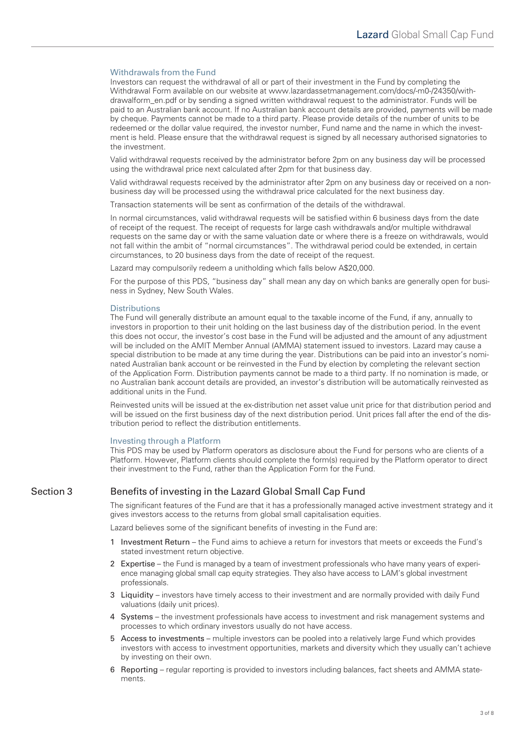### Withdrawals from the Fund

Investors can request the withdrawal of all or part of their investment in the Fund by completing the Withdrawal Form available on our website at www.lazardassetmanagement.com/docs/-m0-/24350/withdrawalform\_en.pdf or by sending a signed written withdrawal request to the administrator. Funds will be paid to an Australian bank account. If no Australian bank account details are provided, payments will be made by cheque. Payments cannot be made to a third party. Please provide details of the number of units to be redeemed or the dollar value required, the investor number, Fund name and the name in which the investment is held. Please ensure that the withdrawal request is signed by all necessary authorised signatories to the investment.

Valid withdrawal requests received by the administrator before 2pm on any business day will be processed using the withdrawal price next calculated after 2pm for that business day.

Valid withdrawal requests received by the administrator after 2pm on any business day or received on a nonbusiness day will be processed using the withdrawal price calculated for the next business day.

Transaction statements will be sent as confirmation of the details of the withdrawal.

In normal circumstances, valid withdrawal requests will be satisfied within 6 business days from the date of receipt of the request. The receipt of requests for large cash withdrawals and/or multiple withdrawal requests on the same day or with the same valuation date or where there is a freeze on withdrawals, would not fall within the ambit of "normal circumstances". The withdrawal period could be extended, in certain circumstances, to 20 business days from the date of receipt of the request.

Lazard may compulsorily redeem a unitholding which falls below A\$20,000.

For the purpose of this PDS, "business day" shall mean any day on which banks are generally open for business in Sydney, New South Wales.

#### **Distributions**

The Fund will generally distribute an amount equal to the taxable income of the Fund, if any, annually to investors in proportion to their unit holding on the last business day of the distribution period. In the event this does not occur, the investor's cost base in the Fund will be adjusted and the amount of any adjustment will be included on the AMIT Member Annual (AMMA) statement issued to investors. Lazard may cause a special distribution to be made at any time during the year. Distributions can be paid into an investor's nominated Australian bank account or be reinvested in the Fund by election by completing the relevant section of the Application Form. Distribution payments cannot be made to a third party. If no nomination is made, or no Australian bank account details are provided, an investor's distribution will be automatically reinvested as additional units in the Fund.

Reinvested units will be issued at the ex-distribution net asset value unit price for that distribution period and will be issued on the first business day of the next distribution period. Unit prices fall after the end of the distribution period to reflect the distribution entitlements.

#### Investing through a Platform

This PDS may be used by Platform operators as disclosure about the Fund for persons who are clients of a Platform. However, Platform clients should complete the form(s) required by the Platform operator to direct their investment to the Fund, rather than the Application Form for the Fund.

# Section 3 Benefits of investing in the Lazard Global Small Cap Fund

The significant features of the Fund are that it has a professionally managed active investment strategy and it gives investors access to the returns from global small capitalisation equities.

Lazard believes some of the significant benefits of investing in the Fund are:

- 1 Investment Return the Fund aims to achieve a return for investors that meets or exceeds the Fund's stated investment return objective.
- 2 Expertise the Fund is managed by a team of investment professionals who have many years of experience managing global small cap equity strategies. They also have access to LAM's global investment professionals.
- 3 Liquidity investors have timely access to their investment and are normally provided with daily Fund valuations (daily unit prices).
- 4 Systems the investment professionals have access to investment and risk management systems and processes to which ordinary investors usually do not have access.
- 5 Access to investments multiple investors can be pooled into a relatively large Fund which provides investors with access to investment opportunities, markets and diversity which they usually can't achieve by investing on their own.
- 6 Reporting regular reporting is provided to investors including balances, fact sheets and AMMA statements.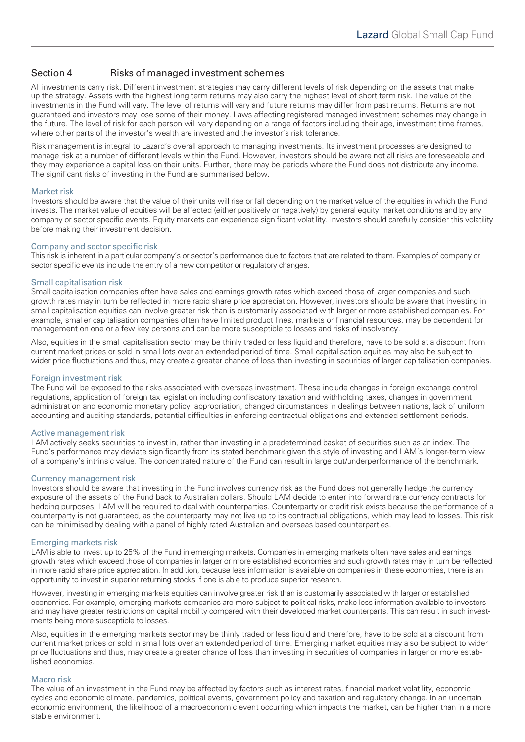# Section 4 Risks of managed investment schemes

All investments carry risk. Different investment strategies may carry different levels of risk depending on the assets that make up the strategy. Assets with the highest long term returns may also carry the highest level of short term risk. The value of the investments in the Fund will vary. The level of returns will vary and future returns may differ from past returns. Returns are not guaranteed and investors may lose some of their money. Laws affecting registered managed investment schemes may change in the future. The level of risk for each person will vary depending on a range of factors including their age, investment time frames, where other parts of the investor's wealth are invested and the investor's risk tolerance.

Risk management is integral to Lazard's overall approach to managing investments. Its investment processes are designed to manage risk at a number of different levels within the Fund. However, investors should be aware not all risks are foreseeable and they may experience a capital loss on their units. Further, there may be periods where the Fund does not distribute any income. The significant risks of investing in the Fund are summarised below.

#### Market risk

Investors should be aware that the value of their units will rise or fall depending on the market value of the equities in which the Fund invests. The market value of equities will be affected (either positively or negatively) by general equity market conditions and by any company or sector specific events. Equity markets can experience significant volatility. Investors should carefully consider this volatility before making their investment decision.

### Company and sector specific risk

This risk is inherent in a particular company's or sector's performance due to factors that are related to them. Examples of company or sector specific events include the entry of a new competitor or regulatory changes.

#### Small capitalisation risk

Small capitalisation companies often have sales and earnings growth rates which exceed those of larger companies and such growth rates may in turn be reflected in more rapid share price appreciation. However, investors should be aware that investing in small capitalisation equities can involve greater risk than is customarily associated with larger or more established companies. For example, smaller capitalisation companies often have limited product lines, markets or financial resources, may be dependent for management on one or a few key persons and can be more susceptible to losses and risks of insolvency.

Also, equities in the small capitalisation sector may be thinly traded or less liquid and therefore, have to be sold at a discount from current market prices or sold in small lots over an extended period of time. Small capitalisation equities may also be subject to wider price fluctuations and thus, may create a greater chance of loss than investing in securities of larger capitalisation companies.

#### Foreign investment risk

The Fund will be exposed to the risks associated with overseas investment. These include changes in foreign exchange control regulations, application of foreign tax legislation including confiscatory taxation and withholding taxes, changes in government administration and economic monetary policy, appropriation, changed circumstances in dealings between nations, lack of uniform accounting and auditing standards, potential difficulties in enforcing contractual obligations and extended settlement periods.

#### Active management risk

LAM actively seeks securities to invest in, rather than investing in a predetermined basket of securities such as an index. The Fund's performance may deviate significantly from its stated benchmark given this style of investing and LAM's longer-term view of a company's intrinsic value. The concentrated nature of the Fund can result in large out/underperformance of the benchmark.

#### Currency management risk

Investors should be aware that investing in the Fund involves currency risk as the Fund does not generally hedge the currency exposure of the assets of the Fund back to Australian dollars. Should LAM decide to enter into forward rate currency contracts for hedging purposes, LAM will be required to deal with counterparties. Counterparty or credit risk exists because the performance of a counterparty is not guaranteed, as the counterparty may not live up to its contractual obligations, which may lead to losses. This risk can be minimised by dealing with a panel of highly rated Australian and overseas based counterparties.

#### Emerging markets risk

LAM is able to invest up to 25% of the Fund in emerging markets. Companies in emerging markets often have sales and earnings growth rates which exceed those of companies in larger or more established economies and such growth rates may in turn be reflected in more rapid share price appreciation. In addition, because less information is available on companies in these economies, there is an opportunity to invest in superior returning stocks if one is able to produce superior research.

However, investing in emerging markets equities can involve greater risk than is customarily associated with larger or established economies. For example, emerging markets companies are more subject to political risks, make less information available to investors and may have greater restrictions on capital mobility compared with their developed market counterparts. This can result in such investments being more susceptible to losses.

Also, equities in the emerging markets sector may be thinly traded or less liquid and therefore, have to be sold at a discount from current market prices or sold in small lots over an extended period of time. Emerging market equities may also be subject to wider price fluctuations and thus, may create a greater chance of loss than investing in securities of companies in larger or more established economies.

#### Macro risk

The value of an investment in the Fund may be affected by factors such as interest rates, financial market volatility, economic cycles and economic climate, pandemics, political events, government policy and taxation and regulatory change. In an uncertain economic environment, the likelihood of a macroeconomic event occurring which impacts the market, can be higher than in a more stable environment.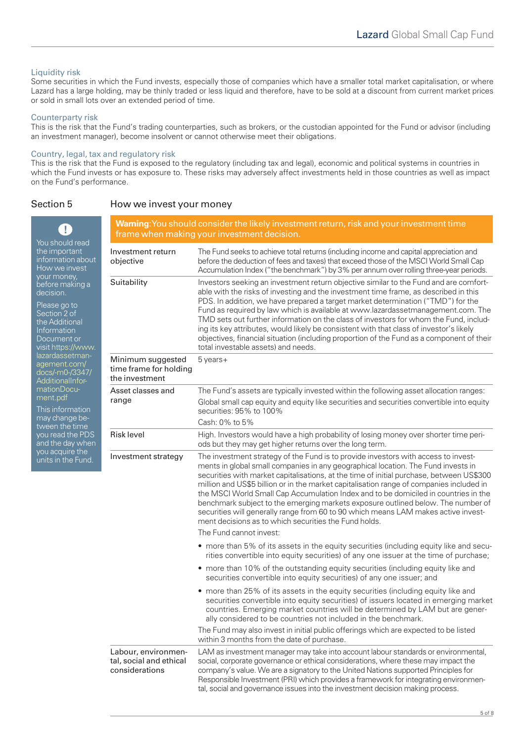# Liquidity risk

Some securities in which the Fund invests, especially those of companies which have a smaller total market capitalisation, or where Lazard has a large holding, may be thinly traded or less liquid and therefore, have to be sold at a discount from current market prices or sold in small lots over an extended period of time.

#### Counterparty risk

This is the risk that the Fund's trading counterparties, such as brokers, or the custodian appointed for the Fund or advisor (including an investment manager), become insolvent or cannot otherwise meet their obligations.

### Country, legal, tax and regulatory risk

This is the risk that the Fund is exposed to the regulatory (including tax and legal), economic and political systems in countries in which the Fund invests or has exposure to. These risks may adversely affect investments held in those countries as well as impact on the Fund's performance.

# Section 5 How we invest your money

| Ţ<br>You should read<br>the important<br>information about<br>How we invest<br>your money,<br>before making a<br>decision.<br>Please go to<br>Section 2 of<br>the Additional<br>Information<br>Document or<br>visit https://www.<br>lazardassetman-<br>agement.com/<br>docs/-m0-/3347/<br><b>AdditionalInfor-</b><br>mationDocu-<br>ment.pdf<br>This information<br>may change be-<br>tween the time<br>you read the PDS<br>and the day when<br>you acquire the<br>units in the Fund. | <b>Warning</b> :You should consider the likely investment return, risk and your investment time<br>frame when making your investment decision. |                                                                                                                                                                                                                                                                                                                                                                                                                                                                                                                                                                                                                                                                                                                      |  |
|---------------------------------------------------------------------------------------------------------------------------------------------------------------------------------------------------------------------------------------------------------------------------------------------------------------------------------------------------------------------------------------------------------------------------------------------------------------------------------------|------------------------------------------------------------------------------------------------------------------------------------------------|----------------------------------------------------------------------------------------------------------------------------------------------------------------------------------------------------------------------------------------------------------------------------------------------------------------------------------------------------------------------------------------------------------------------------------------------------------------------------------------------------------------------------------------------------------------------------------------------------------------------------------------------------------------------------------------------------------------------|--|
|                                                                                                                                                                                                                                                                                                                                                                                                                                                                                       | Investment return<br>objective                                                                                                                 | The Fund seeks to achieve total returns (including income and capital appreciation and<br>before the deduction of fees and taxes) that exceed those of the MSCI World Small Cap<br>Accumulation Index ("the benchmark") by 3% per annum over rolling three-year periods.                                                                                                                                                                                                                                                                                                                                                                                                                                             |  |
|                                                                                                                                                                                                                                                                                                                                                                                                                                                                                       | Suitability                                                                                                                                    | Investors seeking an investment return objective similar to the Fund and are comfort-<br>able with the risks of investing and the investment time frame, as described in this<br>PDS. In addition, we have prepared a target market determination ("TMD") for the<br>Fund as required by law which is available at www.lazardassetmanagement.com. The<br>TMD sets out further information on the class of investors for whom the Fund, includ-<br>ing its key attributes, would likely be consistent with that class of investor's likely<br>objectives, financial situation (including proportion of the Fund as a component of their<br>total investable assets) and needs.                                        |  |
|                                                                                                                                                                                                                                                                                                                                                                                                                                                                                       | Minimum suggested<br>time frame for holding<br>the investment                                                                                  | $5$ years +                                                                                                                                                                                                                                                                                                                                                                                                                                                                                                                                                                                                                                                                                                          |  |
|                                                                                                                                                                                                                                                                                                                                                                                                                                                                                       | Asset classes and<br>range                                                                                                                     | The Fund's assets are typically invested within the following asset allocation ranges:<br>Global small cap equity and equity like securities and securities convertible into equity<br>securities: 95% to 100%<br>Cash: 0% to 5%                                                                                                                                                                                                                                                                                                                                                                                                                                                                                     |  |
|                                                                                                                                                                                                                                                                                                                                                                                                                                                                                       | <b>Risk level</b>                                                                                                                              | High. Investors would have a high probability of losing money over shorter time peri-<br>ods but they may get higher returns over the long term.                                                                                                                                                                                                                                                                                                                                                                                                                                                                                                                                                                     |  |
|                                                                                                                                                                                                                                                                                                                                                                                                                                                                                       | Investment strategy                                                                                                                            | The investment strategy of the Fund is to provide investors with access to invest-<br>ments in global small companies in any geographical location. The Fund invests in<br>securities with market capitalisations, at the time of initial purchase, between US\$300<br>million and US\$5 billion or in the market capitalisation range of companies included in<br>the MSCI World Small Cap Accumulation Index and to be domiciled in countries in the<br>benchmark subject to the emerging markets exposure outlined below. The number of<br>securities will generally range from 60 to 90 which means LAM makes active invest-<br>ment decisions as to which securities the Fund holds.<br>The Fund cannot invest: |  |
|                                                                                                                                                                                                                                                                                                                                                                                                                                                                                       |                                                                                                                                                | • more than 5% of its assets in the equity securities (including equity like and secu-<br>rities convertible into equity securities) of any one issuer at the time of purchase;                                                                                                                                                                                                                                                                                                                                                                                                                                                                                                                                      |  |
|                                                                                                                                                                                                                                                                                                                                                                                                                                                                                       |                                                                                                                                                | • more than 10% of the outstanding equity securities (including equity like and<br>securities convertible into equity securities) of any one issuer; and                                                                                                                                                                                                                                                                                                                                                                                                                                                                                                                                                             |  |
|                                                                                                                                                                                                                                                                                                                                                                                                                                                                                       |                                                                                                                                                | • more than 25% of its assets in the equity securities (including equity like and<br>securities convertible into equity securities) of issuers located in emerging market<br>countries. Emerging market countries will be determined by LAM but are gener-<br>ally considered to be countries not included in the benchmark.                                                                                                                                                                                                                                                                                                                                                                                         |  |
|                                                                                                                                                                                                                                                                                                                                                                                                                                                                                       |                                                                                                                                                | The Fund may also invest in initial public offerings which are expected to be listed<br>within 3 months from the date of purchase.                                                                                                                                                                                                                                                                                                                                                                                                                                                                                                                                                                                   |  |
|                                                                                                                                                                                                                                                                                                                                                                                                                                                                                       | Labour, environmen-<br>tal, social and ethical<br>considerations                                                                               | LAM as investment manager may take into account labour standards or environmental,<br>social, corporate governance or ethical considerations, where these may impact the<br>company's value. We are a signatory to the United Nations supported Principles for<br>Responsible Investment (PRI) which provides a framework for integrating environmen-<br>tal, social and governance issues into the investment decision making process.                                                                                                                                                                                                                                                                              |  |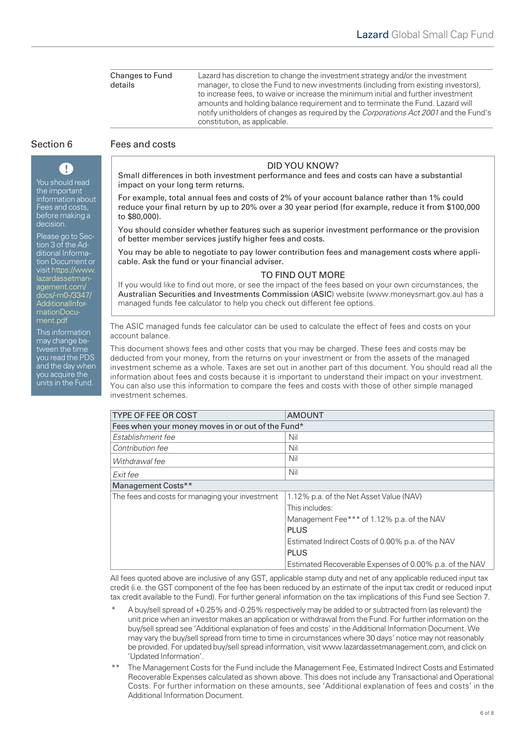Changes to Fund details Lazard has discretion to change the investment strategy and/or the investment manager, to close the Fund to new investments (including from existing investors), to increase fees, to waive or increase the minimum initial and further investment amounts and holding balance requirement and to terminate the Fund. Lazard will notify unitholders of changes as required by the *Corporations Act 2001* and the Fund's constitution, as applicable.

# Section 6 Fees and costs

You should read the important information about Fees and costs, before making a decision.

T

Please go to Section 3 of the Additional Information Document or [visit https://www.](https://www.lazardassetmanagement.com/docs/-m0-/3347/AdditionalInformationDocument.pdf) lazardassetmanagement.com/ docs/-m0-/3347/ AdditionalInformationDocument.pdf

This information may change between the time you read the PDS and the day when you acquire the units in the Fund.

# DID YOU KNOW?

Small differences in both investment performance and fees and costs can have a substantial impact on your long term returns.

For example, total annual fees and costs of 2% of your account balance rather than 1% could reduce your final return by up to 20% over a 30 year period (for example, reduce it from \$100,000 to \$80,000).

You should consider whether features such as superior investment performance or the provision of better member services justify higher fees and costs.

You may be able to negotiate to pay lower contribution fees and management costs where applicable. Ask the fund or your financial adviser.

### TO FIND OUT MORE

If you would like to find out more, or see the impact of the fees based on your own circumstances, the Australian Securities and Investments Commission (ASIC) website (www.moneysmart.gov.au) has a managed funds fee calculator to help you check out different fee options.

The ASIC managed funds fee calculator can be used to calculate the effect of fees and costs on your account balance.

This document shows fees and other costs that you may be charged. These fees and costs may be deducted from your money, from the returns on your investment or from the assets of the managed investment scheme as a whole. Taxes are set out in another part of this document. You should read all the information about fees and costs because it is important to understand their impact on your investment. You can also use this information to compare the fees and costs with those of other simple managed investment schemes.

| <b>TYPE OF FEE OR COST</b>                        | <b>AMOUNT</b>                                           |  |  |  |
|---------------------------------------------------|---------------------------------------------------------|--|--|--|
| Fees when your money moves in or out of the Fund* |                                                         |  |  |  |
| Establishment fee                                 | Nil                                                     |  |  |  |
| Contribution fee                                  | Nil                                                     |  |  |  |
| Withdrawal fee                                    | Nil                                                     |  |  |  |
| Exit fee                                          | Nil                                                     |  |  |  |
| Management Costs**                                |                                                         |  |  |  |
| The fees and costs for managing your investment   | 1.12% p.a. of the Net Asset Value (NAV)                 |  |  |  |
|                                                   | This includes:                                          |  |  |  |
|                                                   | Management Fee*** of 1.12% p.a. of the NAV              |  |  |  |
|                                                   | <b>PLUS</b>                                             |  |  |  |
|                                                   | Estimated Indirect Costs of 0.00% p.a. of the NAV       |  |  |  |
|                                                   | <b>PLUS</b>                                             |  |  |  |
|                                                   | Estimated Recoverable Expenses of 0.00% p.a. of the NAV |  |  |  |

All fees quoted above are inclusive of any GST, applicable stamp duty and net of any applicable reduced input tax credit (i.e. the GST component of the fee has been reduced by an estimate of the input tax credit or reduced input tax credit available to the Fund). For further general information on the tax implications of this Fund see Section 7.

- A buy/sell spread of +0.25% and -0.25% respectively may be added to or subtracted from (as relevant) the unit price when an investor makes an application or withdrawal from the Fund. For further information on the buy/sell spread see 'Additional explanation of fees and costs' in the Additional Information Document. We may vary the buy/sell spread from time to time in circumstances where 30 days' notice may not reasonably be provided. For updated buy/sell spread information, visit www.lazardassetmanagement.com, and click on 'Updated Information'.
- The Management Costs for the Fund include the Management Fee, Estimated Indirect Costs and Estimated Recoverable Expenses calculated as shown above. This does not include any Transactional and Operational Costs. For further information on these amounts, see 'Additional explanation of fees and costs' in the Additional Information Document.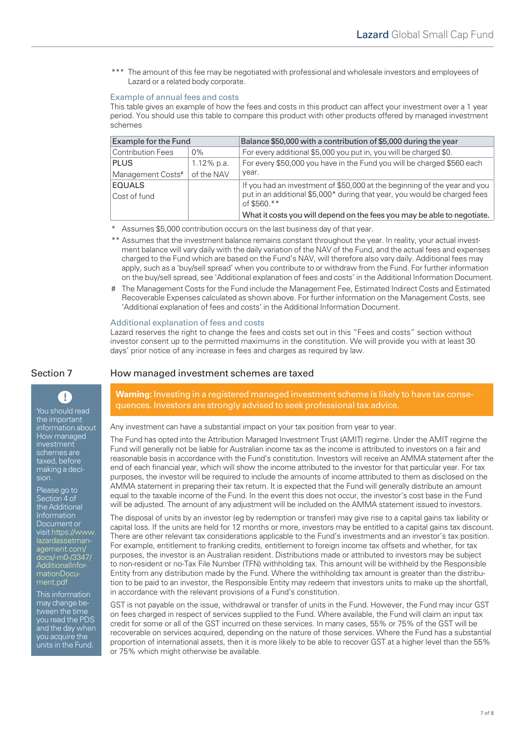\*\*\* The amount of this fee may be negotiated with professional and wholesale investors and employees of Lazard or a related body corporate.

### Example of annual fees and costs

This table gives an example of how the fees and costs in this product can affect your investment over a 1 year period. You should use this table to compare this product with other products offered by managed investment schemes

| Example for the Fund     |            | Balance \$50,000 with a contribution of \$5,000 during the year                          |
|--------------------------|------------|------------------------------------------------------------------------------------------|
| <b>Contribution Fees</b> | $0\%$      | For every additional \$5,000 you put in, you will be charged \$0.                        |
| <b>PLUS</b>              | 1.12% p.a. | For every \$50,000 you have in the Fund you will be charged \$560 each                   |
| Management Costs#        | of the NAV | vear.                                                                                    |
| EQUALS                   |            | If you had an investment of \$50,000 at the beginning of the year and you                |
| Cost of fund             |            | put in an additional \$5,000* during that year, you would be charged fees<br>of \$560.** |
|                          |            | What it costs you will depend on the fees you may be able to negotiate.                  |

Assumes \$5,000 contribution occurs on the last business day of that year.

- \*\* Assumes that the investment balance remains constant throughout the year. In reality, your actual investment balance will vary daily with the daily variation of the NAV of the Fund, and the actual fees and expenses charged to the Fund which are based on the Fund's NAV, will therefore also vary daily. Additional fees may apply, such as a 'buy/sell spread' when you contribute to or withdraw from the Fund. For further information on the buy/sell spread, see 'Additional explanation of fees and costs' in the Additional Information Document.
- # The Management Costs for the Fund include the Management Fee, Estimated Indirect Costs and Estimated Recoverable Expenses calculated as shown above. For further information on the Management Costs, see 'Additional explanation of fees and costs' in the Additional Information Document.

#### Additional explanation of fees and costs

Lazard reserves the right to change the fees and costs set out in this "Fees and costs" section without investor consent up to the permitted maximums in the constitution. We will provide you with at least 30 days' prior notice of any increase in fees and charges as required by law.

the important information about How managed investment schemes are taxed, before making a decision.

 $\mathbf{C}$ 

Please go to Section 4 of the Additional Information Document or [visit https://www.](https://www.lazardassetmanagement.com/docs/-m0-/3347/AdditionalInformationDocument.pdf) lazardassetmanagement.com/ docs/-m0-/3347/ AdditionalInformationDocument.pdf

This information may change between the time you read the PDS and the day when you acquire the units in the Fund.

Section 7 How managed investment schemes are taxed

**Warning:** Investing in a registered managed investment scheme is likely to have tax conse-You should read quences. Investors are strongly advised to seek professional tax advice.

Any investment can have a substantial impact on your tax position from year to year.

The Fund has opted into the Attribution Managed Investment Trust (AMIT) regime. Under the AMIT regime the Fund will generally not be liable for Australian income tax as the income is attributed to investors on a fair and reasonable basis in accordance with the Fund's constitution. Investors will receive an AMMA statement after the end of each financial year, which will show the income attributed to the investor for that particular year. For tax purposes, the investor will be required to include the amounts of income attributed to them as disclosed on the AMMA statement in preparing their tax return. It is expected that the Fund will generally distribute an amount equal to the taxable income of the Fund. In the event this does not occur, the investor's cost base in the Fund will be adjusted. The amount of any adjustment will be included on the AMMA statement issued to investors.

The disposal of units by an investor (eg by redemption or transfer) may give rise to a capital gains tax liability or capital loss. If the units are held for 12 months or more, investors may be entitled to a capital gains tax discount. There are other relevant tax considerations applicable to the Fund's investments and an investor's tax position. For example, entitlement to franking credits, entitlement to foreign income tax offsets and whether, for tax purposes, the investor is an Australian resident. Distributions made or attributed to investors may be subject to non-resident or no-Tax File Number (TFN) withholding tax. This amount will be withheld by the Responsible Entity from any distribution made by the Fund. Where the withholding tax amount is greater than the distribution to be paid to an investor, the Responsible Entity may redeem that investors units to make up the shortfall, in accordance with the relevant provisions of a Fund's constitution.

GST is not payable on the issue, withdrawal or transfer of units in the Fund. However, the Fund may incur GST on fees charged in respect of services supplied to the Fund. Where available, the Fund will claim an input tax credit for some or all of the GST incurred on these services. In many cases, 55% or 75% of the GST will be recoverable on services acquired, depending on the nature of those services. Where the Fund has a substantial proportion of international assets, then it is more likely to be able to recover GST at a higher level than the 55% or 75% which might otherwise be available.